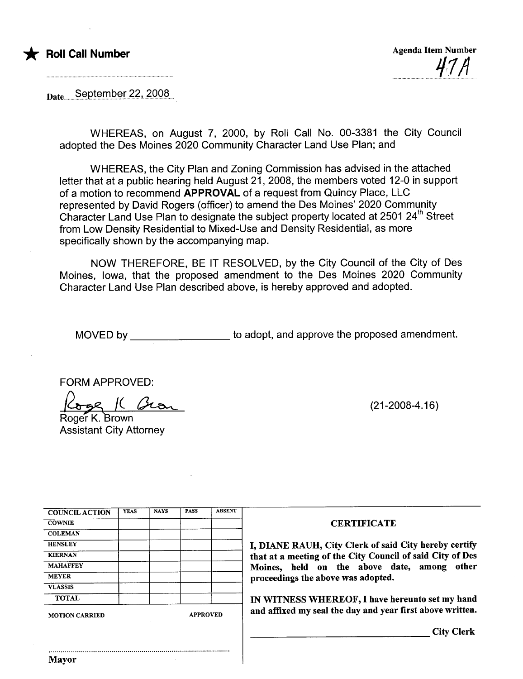

Date September 22, 2008

WHEREAS, on August 7, 2000, by Roll Call No. 00-3381 the City Council adopted the Des Moines 2020 Community Character Land Use Plan; and

WHEREAS, the City Plan and Zoning Commission has advised in the attached letter that at a public hearing held August 21, 2008, the members voted 12-0 in support of a motion to recommend APPROVAL of a request from Quincy Place, LLC represented by David Rogers (officer) to amend the Des Moines' 2020 Community Character Land Use Plan to designate the subject property located at 2501 24<sup>th</sup> Street from Low Density Residential to Mixed-Use and Density Residential, as more specifically shown by the accompanying map.

NOW THEREFORE, BE IT RESOLVED, by the City Council of the City of Des Moines, Iowa, that the proposed amendment to the Des Moines 2020 Community Character Land Use Plan described above, is hereby approved and adopted.

MOVED by \_\_\_\_\_\_\_\_\_\_\_\_\_\_\_\_\_\_\_\_\_ to adopt, and approve the proposed amendment.

FORM APPROVED:

FORM APPROVED:<br>Coger K. Brown

Assistant City Attorney

(21-2008-4.16)

| <b>COUNCIL ACTION</b> | <b>YEAS</b> | <b>NAYS</b> | <b>PASS</b>     | <b>ABSENT</b> |
|-----------------------|-------------|-------------|-----------------|---------------|
| <b>COWNIE</b>         |             |             |                 |               |
| <b>COLEMAN</b>        |             |             |                 |               |
| <b>HENSLEY</b>        |             |             |                 |               |
| <b>KIERNAN</b>        |             |             |                 |               |
| <b>MAHAFFEY</b>       |             |             |                 |               |
| <b>MEYER</b>          |             |             |                 |               |
| <b>VLASSIS</b>        |             |             |                 |               |
| <b>TOTAL</b>          |             |             |                 |               |
| <b>MOTION CARRIED</b> |             |             | <b>APPROVED</b> |               |

..........................................................................................

# **CERTIFICATE**

I, DIANE RAUH, City Clerk of said City hereby certify that at a meeting of the City Council of said City of Des Moines, held on the above date, among other proceedings the above was adopted.

IN WITNESS WHEREOF, I have hereunto set my hand and affixed my seal the day and year first above written.

City Clerk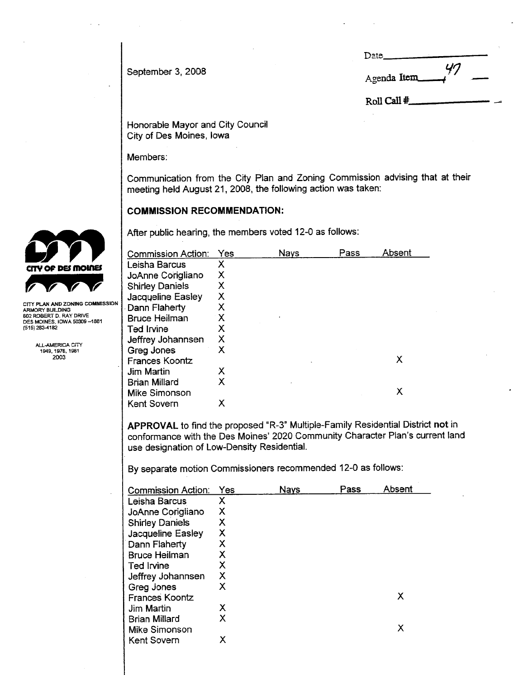September 3, 2008

| Date        |  |
|-------------|--|
| 47          |  |
| Agenda Item |  |

Roll Call  $#$ 

Honorable Mayor and City Council City of Des Moines, Iowa

Members:

Communication from the City Plan and Zoning Commission advising that at their meeting held August 21,2008, the following action was taken:

# COMMISSION RECOMMENDATION:

After public hearing, the members voted 12-0 as follows:

|                                                        | Commission Action:     | Yes | <b>Nays</b> | Pass | Absent |
|--------------------------------------------------------|------------------------|-----|-------------|------|--------|
| <b>CITY OF DES MOINES</b>                              | Leisha Barcus          | х   |             |      |        |
|                                                        | JoAnne Corigliano      | Χ   |             |      |        |
|                                                        | <b>Shirley Daniels</b> | x   |             |      |        |
|                                                        | Jacqueline Easley      | Χ   |             |      |        |
| CITY PLAN AND ZONING COMMISSION<br>ARMORY BUILDING     | Dann Flaherty          | Χ   |             |      |        |
| 602 ROBERT D. RAY DRIVE<br>DES MOINES, IOWA 50309-1881 | <b>Bruce Heilman</b>   | х   |             |      |        |
| (515) 283-4182                                         | Ted Irvine.            | х   |             |      |        |
|                                                        | Jeffrey Johannsen      | Χ   |             |      |        |
| ALL-AMERICA CITY<br>1949, 1976, 1981                   | Greg Jones             | Χ   |             |      |        |
| 2003                                                   | <b>Frances Koontz</b>  |     |             |      | х      |
|                                                        | <b>Jim Martin</b>      | х   |             |      |        |
|                                                        | Brian Millard          | х   |             |      |        |
|                                                        | <b>Mike Simonson</b>   |     |             |      | х      |
|                                                        | Kent Sovern            | х   |             |      |        |

APPROVAL to find the proposed "R-3" Multiple-Family Residential District not in conformance with the Des Moines' 2020 Community Character Plan's current land use designation of Low-Density ResidentiaL.

By separate motion Commissioners recommended 12-0 as follows:

| <b>Commission Action:</b> | Yes | <b>Nays</b> | Pass | Absent |  |
|---------------------------|-----|-------------|------|--------|--|
| Leisha Barcus             | х   |             |      |        |  |
| JoAnne Corigliano         | х   |             |      |        |  |
| <b>Shirley Daniels</b>    | х   |             |      |        |  |
| Jacqueline Easley         | χ   |             |      |        |  |
| Dann Flaherty             | Χ   |             |      |        |  |
| <b>Bruce Heilman</b>      | х   |             |      |        |  |
| Ted Irvine                | χ   |             |      |        |  |
| Jeffrey Johannsen         | х   |             |      |        |  |
| Greg Jones                | X   |             |      |        |  |
| <b>Frances Koontz</b>     |     |             |      | х      |  |
| Jim Martin                | Χ.  |             |      |        |  |
| Brian Millard             | x   |             |      |        |  |
| Mike Simonson             |     |             |      | х      |  |
| <b>Kent Sovern</b>        | Х   |             |      |        |  |
|                           |     |             |      |        |  |

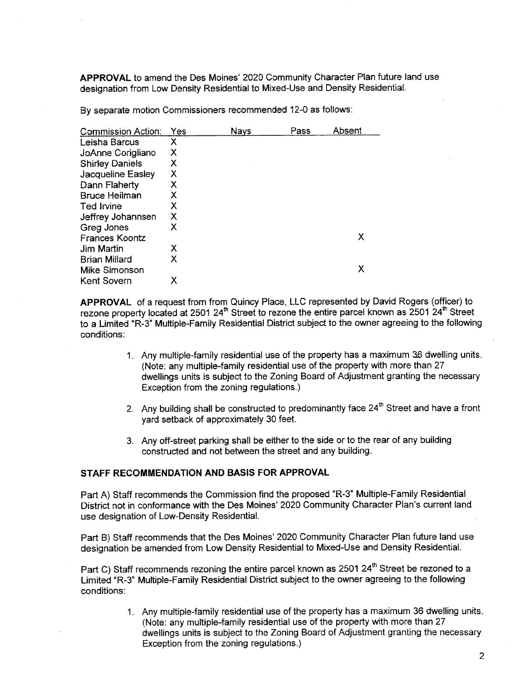APPROVAL to amend the Des Moines' 2020 Community Character Plan future land use designation from Low Density Residential to Mixed-Use and Density ResidentiaL.

By separate motion Commissioners recommended 12-0 as follows:

| <b>Commission Action:</b> | Yes | <b>Nays</b> | Pass | Absent |
|---------------------------|-----|-------------|------|--------|
| Leisha Barcus             | х   |             |      |        |
| JoAnne Corigliano         | х   |             |      |        |
| <b>Shirley Daniels</b>    | X   |             |      |        |
| Jacqueline Easley         | Х   |             |      |        |
| Dann Flaherty             | х   |             |      |        |
| <b>Bruce Heilman</b>      | X   |             |      |        |
| Ted Irvine                | Χ   |             |      |        |
| Jeffrey Johannsen         | X   |             |      |        |
| Greg Jones                | Х   |             |      |        |
| <b>Frances Koontz</b>     |     |             |      | х      |
| <b>Jim Martin</b>         | Χ   |             |      |        |
| <b>Brian Millard</b>      | X   |             |      |        |
| Mike Simonson             |     |             |      | Х      |
| Kent Sovern               | х   |             |      |        |

APPROVAL of a request from from Quincy Place, LLC represented by David Rogers (officer) to rezone property located at 2501 24<sup>th</sup> Street to rezone the entire parcel known as 2501 24<sup>th</sup> Street to a Limited "R-3" Multiple-Family Residential District subject to the owner agreeing to the following conditions:

- 1. Any multiple-family residential use of the property has a maximum 3ß dwellng units. (Note: any multiple-family residential use of the property with more than 27 dwellings units is subject to the Zoning Board of Adjustment granting the necessary Exception from the zoning regulations.)
- 2. Any building shall be constructed to predominantly face  $24<sup>th</sup>$  Street and have a front yard setback of approximately 30 feet.
- 3. Any off-street parking shall be either to the side or to the rear of any building constructed and not between the street and any building.

#### STAFF RECOMMENDATION AND BASIS FOR APPROVAL

Part A) Staff recommends the Commission find the proposed "R-3" Multiple-Family Residential District not in conformance with the Des Moines' 2020 Community Character Plan's current land use designation of Low-Density ResidentiaL.

Part B) Staff recommends that the Des Moines' 2020 Community Character Plan future land use designation be amended from Low Density Residential to Mixed-Use and Density ResidentiaL.

Part C) Staff recommends rezoning the entire parcel known as 2501 24<sup>th</sup> Street be rezoned to a Limited "R-3" Multiple-Family Residential District subject to the owner agreeing to the following conditions:

> 1. Any multiple-family residential use of the property has a maximum 36 dwellng units. (Note: any multiple-family residential use of the property with more than 27 dwellngs units is subject to the Zoning Board of Adjustment granting the necessary Exception from the zoning regulations.)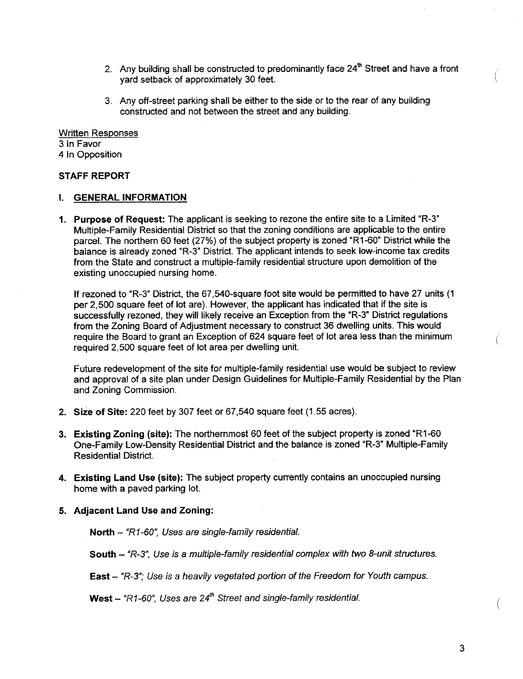- 2. Any building shall be constructed to predominantly face  $24<sup>th</sup>$  Street and have a front yard setback of approximately 30 feet.
- 3. Any off-street parking shall be either to the side or to the rear of any building constructed and not between the street and any building.

Written Responses 3 In Favor 4 In Opposition

#### STAFF REPORT

#### i. GENERAL INFORMATION

1. Purpose of Request: The applicant is seeking to rezone the entire site to a Limited "R-3. Multiple-Family Residential District so that the zoning conditions are applicable to the entire parcel. The northern 60 feet (27%) of the subject property is zoned "R1-60" District while the balance is already zoned "R-3" District. The applicant intends to seek low-income tax credits from the State and construct a multiple-family residential structure upon demolition of the existing unoccupied nursing home.

If rezoned to "R-3" District, the 67,540-square foot site would be permitted to have 27 units (1) per 2,500 square feet of lot are). However, the applicant has indicated that if the site is successfully rezoned, they will likely receive an Exception from the "R-3" District requlations from the Zoning Board of Adjustment necessary to construct 36 dwellng units. This would require the Board to grant an Exception of 624 square feet of lot area less than the minimum ( required 2,500 square feet of lot area per dwellng unit.

Future redevelopment of the site for multiple-family residential use would be subject to review and approval of a site plan under Design Guidelines for Multiple-Family Residential by the Plan and Zoning Commission.

- 2. Size of Site: 220 feet by 307 feet or 67,540 square feet (1.55 acres).
- 3. Existing Zoning (site): The northernmost 60 feet of the subject property is zoned "R1-60 One-Family Low-Density Residential District and the balance is zoned "R-3" Multiple-Family Residential District.
- 4. Existing Land Use (site): The subject property currently contains an unoccupied nursing home with a paved parking lot.
- 5. Adjacent Land Use and Zoning:

North  $-$  "R1-60". Uses are single-family residential.

South - "R-3", Use is a multiple-family residential complex with two 8-unit structures.

East - "R-3"; Use is a heavily vegetated portion of the Freedom for Youth campus.

West  $-$  "R1-60", Uses are 24<sup>th</sup> Street and single-family residential.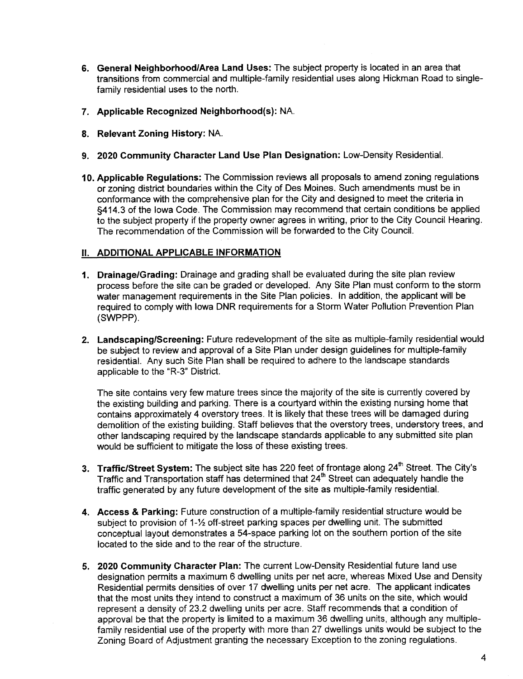- 6. General Neighborhood/Area Land Uses: The subject property is located in an area that transitions from commercial and multiple-family residential uses along Hickman Road to singlefamily residential uses to the north.
- 7. Applicable Recognized Neighborhood(s): NA.
- 8. Relevant Zoning History: NA.
- 9. 2020 Community Character Land Use Plan Designation: Low-Density ResidentiaL.
- 10. Applicable Regulations: The Commission reviews all proposals to amend zoning regulations or zoning district boundaries within the City of Des Moines. Such amendments must be in conformance with the comprehensive plan for the City and designed to meet the criteria in §414.3 of the Iowa Code. The Commission may recommend that certain conditions be applied to the subject property if the property owner agrees in writing, prior to the City Council Hearing. The recommendation of the Commission will be forwarded to the City CounciL.

# II. ADDITIONAL APPLICABLE INFORMATION

- 1. Drainage/Grading: Drainage and grading shall be evaluated during the site plan review process before the site can be graded or developed. Any Site Plan must conform to the storm water management requirements in the Site Plan policies. In addition, the applicant will be required to comply with Iowa DNR requirements for a Storm Water Pollution Prevention Plan (SWPPP).
- 2. Landscaping/Screening: Future redevelopment of the site as multiple-family residential would be subject to review and approval of a Site Plan under design guidelines for multiple-family residentiaL. Any such Site Plan shall be required to adhere to the landscape standards applicable to the "R\_3" District.

The site contains very few mature trees since the majority of the site is currently covered by the existing building and parking. There is a courtyard within the existing nursing home that contains approximately 4 overstory trees. It is likely that these trees will be damaged during demolition of the existing building. Staff believes that the overstory trees, understory trees, and other landscaping required by the landscape standards applicable to any submitted site plan would be sufficient to mitigate the loss of these existing trees.

- 3. Traffic/Street System: The subject site has 220 feet of frontage along 24<sup>th</sup> Street. The City's Traffic and Transportation staff has determined that 24<sup>th</sup> Street can adequately handle the traffic generated by any future development of the site as multiple-family residential.
- 4. Access & Parking: Future construction of a multiple-family residential structure would be subject to provision of 1-1/2 off-street parking spaces per dwelling unit. The submitted conceptual layout demonstrates a 54-space parking lot on the southern portion of the site located to the side and to the rear of the structure.
- 5. 2020 Community Character Plan: The current Low-Density Residential future land use designation permits a maximum 6 dwelling units per net acre, whereas Mixed Use and Density Residential permits densities of over 17 dwellng units per net acre. The applicant indicates that the most units they intend to construct a maximum of 36 units on the site, which would represent a density of 23.2 dwellng units per acre. Staff recommends that a condition of approval be that the property is limited to a maximum 36 dwelling units, although any multiplefamily residential use of the property with more than 27 dwellings units would be subject to the Zoning Board of Adjustment granting the necessary Exception to the zoning regulations.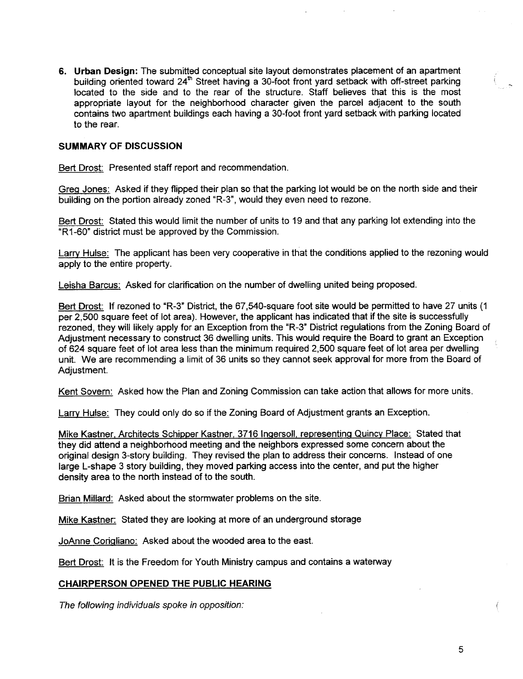6. Urban Design: The submitted conceptual site layout demonstrates placement of an apartment building oriented toward 24<sup>th</sup> Street having a 30-foot front yard setback with off-street parking located to the side and to the rear of the structure. Staff believes that this is the most appropriate layout for the neighborhood character given the parcel adjacent to the south contains two apartment buildings each having a 30-foot front yard setback with parking located to the rear.

# SUMMARY OF DISCUSSION

Bert Drost: Presented staff report and recommendation.

Greg Jones: Asked if they flipped their plan so that the parking lot would be on the north side and their building on the portion already zoned "R-3", would they even need to rezone.

Bert Drost: Stated this would limit the number of units to 19 and that any parking lot extending into the "R1-60" district must be approved by the Commission.

Larry Hulse: The applicant has been very cooperative in that the conditions applied to the rezoning would apply to the entire property.

Leisha Barcus: Asked for clarification on the number of dwelling united being proposed.

Bert Drost: If rezoned to "R-3" District, the 67,540-square foot site would be permitted to have 27 units (1 per 2,500 square feet of lot area). However, the applicant has indicated that if the site is successfully rezoned, they will likely apply for an Exception from the "R-3" District regulations from the Zoning Board of Adjustment necessary to construct 36 dwellng units. This would require the Board to grant an Exception of 624 square feet of lot area less than the minimum required 2,500 square feet of lot area per dwellng unit. We are recommending a limit of 36 units so they cannot seek approval for more from the Board of Adjustment.

Kent Sovern: Asked how the Plan and Zoning Commission can take action that allows for more units.

Larry Hulse: They could only do so if the Zoning Board of Adjustment grants an Exception.

Mike Kastner, Architects Schipper Kastner, 3716 Ingersoll, representing Quincy Place: Stated that they did attend a neighborhood meeting and the neighbors expressed some concern about the original design 3-story building. They revised the plan to address their concerns. Instead of one large L-shape 3 story building, they moved parking access into the center, and put the higher density area to the north instead of to the south.

Brian Milard: Asked about the stormwater problems on the site.

Mike Kastner: Stated they are looking at more of an underground storage

JoAnne Corioliano: Asked about the wooded area to the east.

Bert Drost: It is the Freedom for Youth Ministry campus and contains a waterway

# CHAIRPERSON OPENED THE PUBLIC HEARING

The following individuals spoke in opposition: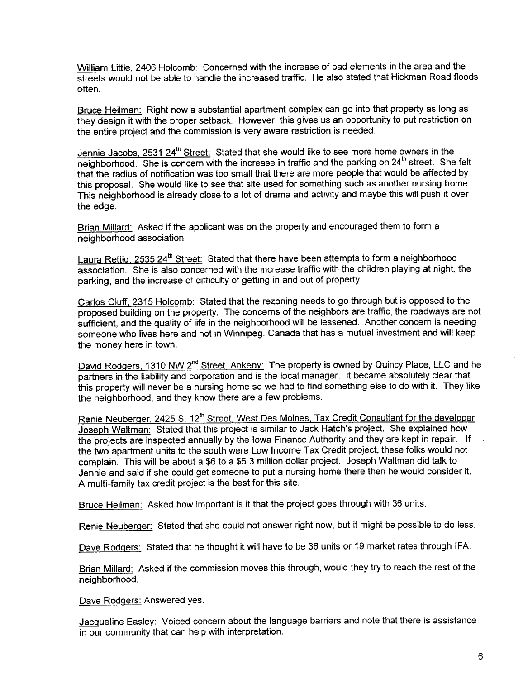William Little, 2406 Holcomb: Concerned with the increase of bad elements in the area and the streets would not be able to handle the increased traffc. He also stated that Hickman Road floods often.

Bruce Heilman: Right now a substantial apartment complex can go into that property as long as they design it with the proper setback. However, this gives us an opportunity to put restriction on the entire project and the commission is very aware restriction is needed.

Jennie Jacobs, 2531 24<sup>th</sup> Street: Stated that she would like to see more home owners in the neighborhood. She is concern with the increase in traffic and the parking on 24<sup>th</sup> street. She felt that the radius of notification was too small that there are more people that would be affected by this proposaL. She would like to see that site used for something such as another nursing home. This neighborhood is already close to a lot of drama and activity and maybe this wil push it over the edge.

Brian Millard: Asked if the applicant was on the property and encouraged them to form a neighborhood association.

Laura Rettig, 2535 24<sup>th</sup> Street: Stated that there have been attempts to form a neighborhood association. She is also concerned with the increase traffc with the children playing at night, the parking, and the increase of diffculty of getting in and out of property.

Carlos Cluff. 2315 Holcomb: Stated that the rezoning needs to go through but is opposed to the proposed building on the propert. The concerns of the neighbors are traffc, the roadways are not sufficient, and the quality of life in the neighborhood will be lessened. Another concern is needing someone who lives here and not in Winnipeg, Canada that has a mutual investment and wil keep the money here in town.

David Rodgers, 1310 NW 2<sup>nd</sup> Street, Ankeny: The property is owned by Quincy Place, LLC and he partners in the liability and corporation and is the local manager. It became absolutely clear that this property will never be a nursing home so we had to find something else to do with it. They like the neighborhood, and they know there are a few problems.

Renie Neuberger, 2425 S. 12<sup>th</sup> Street, West Des Moines, Tax Credit Consultant for the developer Joseph Waltman: Stated that this project is similar to Jack Hatch's project. She explained how the projects are inspected annually by the Iowa Finance Authority and they are kept in repair. If the two apartment units to the south were Low Income Tax Credit project, these folks would not complain. This will be about a \$6 to a \$6.3 million dollar project. Joseph Waltman did talk to Jennie and said if she could get someone to put a nursing home there then he would consider it. A multi-family tax credit project is the best for this site.

Bruce Heilman: Asked how important is it that the project goes through with 36 units.

Renie Neuberger: Stated that she could not answer right now, but it might be possible to do less.

Dave Rodgers: Stated that he thought it will have to be 36 units or 19 market rates through IFA.

Brian Milard: Asked if the commission moves this through, would they try to reach the rest of the neighborhood.

Dave Rodgers: Answered yes.

Jacqueline Easley: Voiced concern about the language barriers and note that there is assistance in our community that can help with interpretation.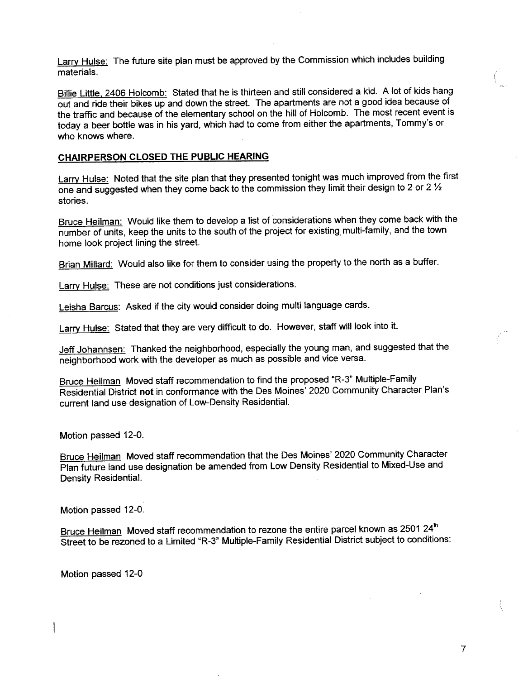Larry Hulse: The future site plan must be approved by the Commission which includes building materials.

Billie Little, 2406 Holcomb: Stated that he is thirteen and still considered a kid. A lot of kids hang out and ride their bikes up and down the street. The apartments are not a good idea because of the traffic and because of the elementary school on the hill of Holcomb. The most recent event is today a beer bottle was in his yard, which had to come from either the apartments, Tommy's or who knows where.

#### CHAIRPERSON CLOSED THE PUBLIC HEARING

Larry Hulse: Noted that the site plan that they presented tonight was much improved from the first one and suggested when they come back to the commission they limit their design to 2 or 2  $\frac{1}{2}$ stories.

Bruce Heilman: Would like them to develop a list of considerations when they come back with the number of units, keep the units to the south of the project for existing. multi-family, and the town home look project lining the street.

Brian Millard: Would also like for them to consider using the property to the north as a buffer.

Larry Hulse: These are not conditions just considerations.

Leisha Barcus: Asked if the city would consider doing multi language cards.

Larry Hulse: Stated that they are very difficult to do. However, staff will look into it.

Jeff Johannsen: Thanked the neighborhood, especially the young man, and suggested that the neighborhood work with the developer as much as possible and vice versa.

Bruce Heilman Moved staff recommendation to find the proposed "R-3" Multiple-Family Residential District not in conformance with the Des Moines' 2020 Community Character Plan's current land use designation of Low-Density ResidentiaL.

Motion passed 12-0.

Bruce Heilman Moved staff recommendation that the Des Moines' 2020 Community Character Plan future land use designation be amended from Low Density Residential to Mixed-Use and Density ResidentiaL.

Motion passed 12-0.

Bruce Heilman Moved staff recommendation to rezone the entire parcel known as 2501 24<sup>th</sup> Street to be rezoned to a Limited "R-3" Multiple-Family Residential District subject to conditions:

Motion passed 12-0

 $\mathbf{I}$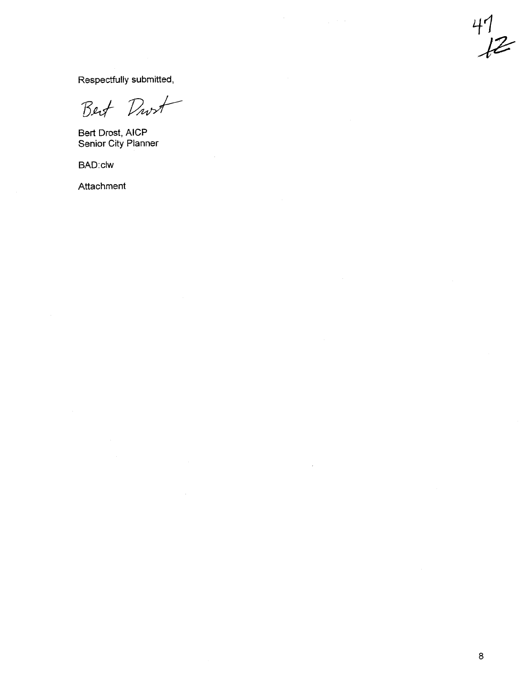$H_1$ 

Respectfully submitted,

Best Dwst

Bert Drost, AICP Senior City Planner

BAD:clw

Attachment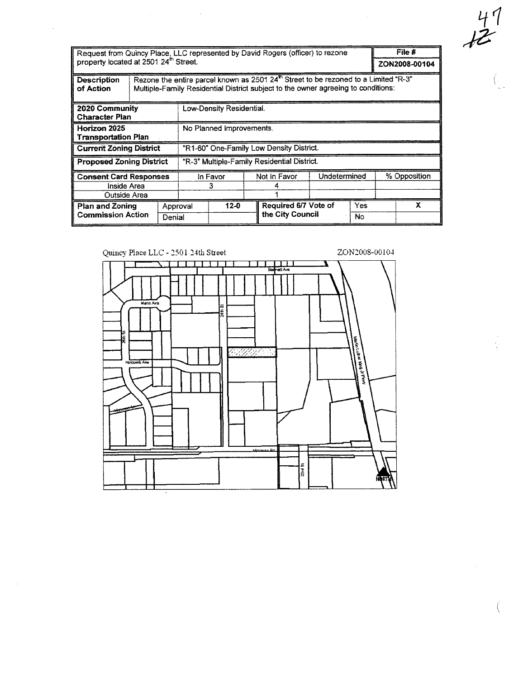| Request from Quincy Place, LLC represented by David Rogers (officer) to rezone<br>property located at 2501 24 <sup>th</sup> Street. |                                                                                |                    |                                                                                                                                                                                      |          | File #<br>ZON2008-00104                               |                                          |              |   |  |  |
|-------------------------------------------------------------------------------------------------------------------------------------|--------------------------------------------------------------------------------|--------------------|--------------------------------------------------------------------------------------------------------------------------------------------------------------------------------------|----------|-------------------------------------------------------|------------------------------------------|--------------|---|--|--|
| Description<br>of Action                                                                                                            |                                                                                |                    | Rezone the entire parcel known as 2501 24 <sup>th</sup> Street to be rezoned to a Limited "R-3"<br>Multiple-Family Residential District subject to the owner agreeing to conditions: |          |                                                       |                                          |              |   |  |  |
| <b>Character Plan</b>                                                                                                               | Low-Density Residential.<br>2020 Community                                     |                    |                                                                                                                                                                                      |          |                                                       |                                          |              |   |  |  |
| Horizon 2025                                                                                                                        | No Planned Improvements.<br><b>Transportation Plan</b>                         |                    |                                                                                                                                                                                      |          |                                                       |                                          |              |   |  |  |
| <b>Current Zoning District</b>                                                                                                      |                                                                                |                    |                                                                                                                                                                                      |          |                                                       | "R1-60" One-Family Low Density District. |              |   |  |  |
|                                                                                                                                     | "R-3" Multiple-Family Residential District.<br><b>Proposed Zoning District</b> |                    |                                                                                                                                                                                      |          |                                                       |                                          |              |   |  |  |
| <b>Consent Card Responses</b><br>Inside Area<br>Outside Area                                                                        |                                                                                |                    | Undetermined<br>Not In Favor<br>In Favor                                                                                                                                             |          |                                                       |                                          | % Opposition |   |  |  |
| <b>Plan and Zoning</b><br><b>Commission Action</b>                                                                                  |                                                                                | Approval<br>Denial |                                                                                                                                                                                      | $12 - 0$ | Required 6/7 Vote of<br>Yes<br>the City Council<br>No |                                          |              | x |  |  |

 $\label{eq:2.1} \frac{1}{\sqrt{2\pi}}\int_{0}^{\infty}\frac{1}{\sqrt{2\pi}}\left(\frac{1}{\sqrt{2\pi}}\right)^{2\alpha} \frac{1}{\sqrt{2\pi}}\int_{0}^{\infty}\frac{1}{\sqrt{2\pi}}\frac{1}{\sqrt{2\pi}}\frac{1}{\sqrt{2\pi}}\frac{1}{\sqrt{2\pi}}\frac{1}{\sqrt{2\pi}}\frac{1}{\sqrt{2\pi}}\frac{1}{\sqrt{2\pi}}\frac{1}{\sqrt{2\pi}}\frac{1}{\sqrt{2\pi}}\frac{1}{\sqrt{2\pi}}\frac{1}{\sqrt{2\pi}}\frac{$ 

 $\mathcal{L}$ 

 $\frac{47}{12}$ 

 $\mathcal{A}^{\mathcal{A}}$ 

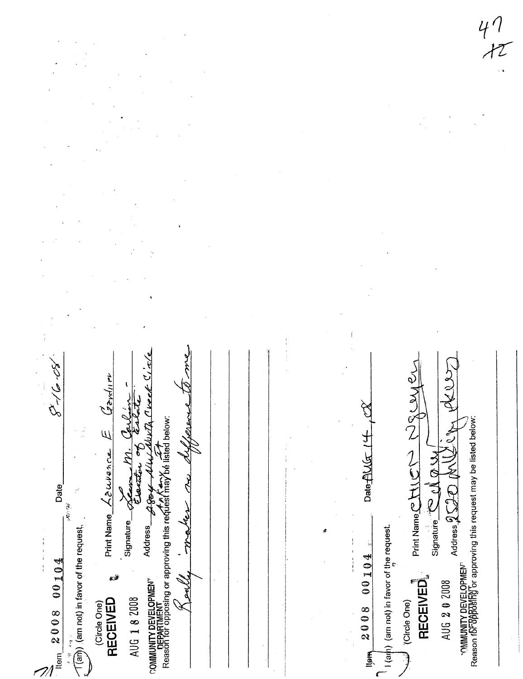| Date<br>$\mathcal{R}^{\mathcal{A}}$<br>00104           | سأحى والمالعة<br>Teren<br>rowMUNITY DEVELOPMENT<br>Reason for particular provides the reduced of the CAULA Conservation of the reduced of the reason for pelovic<br>Reason for opposing or approving this request may be listed below:<br>Щ<br>ź,<br>Lecurence<br><b>R</b><br><b>Tay</b><br>Print Name<br>Signature<br><b>Address</b><br>尾藻 | a<br>2<br>2<br>Ř<br><b>JUVIFUSHERING</b><br>$\mathsf{Date} \mathsf{PNG}$<br>Signature C (<br>$\mathcal{P}_t$<br>Address<br>00104 |
|--------------------------------------------------------|---------------------------------------------------------------------------------------------------------------------------------------------------------------------------------------------------------------------------------------------------------------------------------------------------------------------------------------------|----------------------------------------------------------------------------------------------------------------------------------|
| (am) (am not) in favor of the request,<br>2008<br>Item | AUG 182008<br>RECEIVED<br>(Circle One)                                                                                                                                                                                                                                                                                                      | 1 (arh) (am not) in favor of the request.<br><b>RECEIVED</b><br>AUG 2 0 2008<br>(Circle One)<br>2008<br>ltem                     |

 $\frac{1}{2}$  $\ddot{\cdot}$  $\ddot{\phantom{0}}$  $\frac{1}{2}$  $\hat{\mathcal{A}}$  $\sim$   $\lambda$  $\label{eq:2} \begin{split} \mathcal{L}_{\text{max}}(\mathbf{r}) = \mathcal{L}_{\text{max}}(\mathbf{r}) \,, \end{split}$  $\frac{1}{\sqrt{2}}\left(\frac{1}{\sqrt{2}}\right)^{2}$  $\gamma$  $\frac{1}{\sqrt{2}}$ 

 $\langle \cdot \rangle$ 

 $\hat{A}$  and  $\hat{A}$  $\label{eq:2.1} \frac{1}{\sqrt{2}}\int_{0}^{\infty}\frac{dx}{\sqrt{2\pi}}\left(\frac{dx}{\sqrt{2\pi}}\right)^{2}dx\leq\frac{1}{2}\int_{0}^{\infty}\frac{dx}{\sqrt{2\pi}}\left(\frac{dx}{\sqrt{2\pi}}\right)^{2}dx.$ 

 $\frac{1}{2}$ 

 $\frac{1}{2}$ 

 $\frac{1}{\sqrt{2}}$ 

 $\frac{1}{2} \frac{1}{2} \frac{1}{2}$  $\sim 10^{11}$  $\label{eq:2.1} \frac{1}{\sqrt{2\pi}}\int_{0}^{\infty}\frac{1}{\sqrt{2\pi}}\left(\frac{1}{\sqrt{2\pi}}\right)^{2}d\mu_{\rm{max}}\left(\frac{1}{\sqrt{2\pi}}\right).$ 

 $\frac{47}{12}$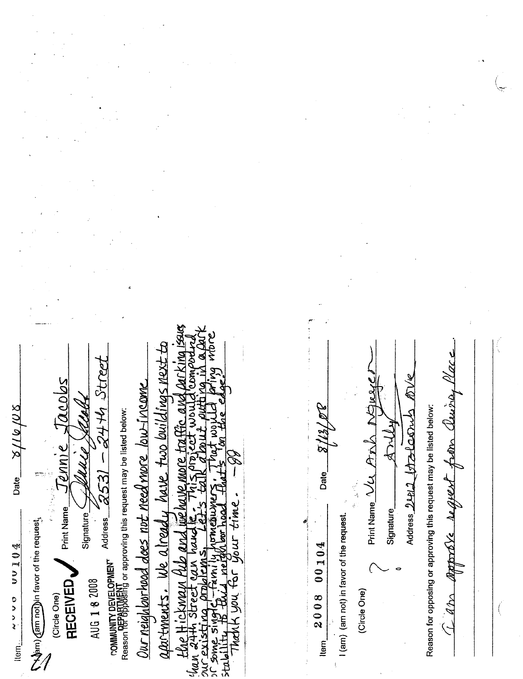| $\infty$<br>Date<br>₩<br>$\Rightarrow$<br><b>I</b> nn<br>ひひとめ<br>ltem. | have two buildings next<br>ЙŘ<br>low-income<br>Ç<br>ava<br>r<br>∕k<br>n <b>OMMUNITY DEVELOPMENT</b><br>Reason REPBBDWENT<br>Reason REPBBDWENT or approving this request may be listed below:<br>$t\mathbf{z}$<br>Our neighborhood does not need more<br>MOLE<br>'n.<br>ĽΩ<br>セラタ<br>Print Name<br>ра<br>Д<br>heady<br>Signature<br><b>SMED</b><br>Address<br><b>reques</b><br>Š<br>З<br>ą<br>Mam Cam not the<br>aportments. We a<br>than <del>24th</del> street aan h<br>eet can h<br>prolatems,<br>aming<br>Long<br>Cor<br>$\vec{k}$<br>RECEIVED.<br>AUG 1 8 2008<br>Thech K You 1<br>$\vec{\mathcal{B}}$<br>(Circle One)<br>aurexisting<br>Some singl<br>staloilitz<br>Š | Reason for opposing or approving this request may be listed below:<br>IAZLOOM<br>م<br>م<br>Date<br>Address 14/1<br>⊂<br>Print Name<br>Signature<br>e request<br>mora<br>₩<br>010<br>I (am) (am not) in favor of the<br>(Circle One)<br>$d\gamma$<br>2008<br>ltem |
|------------------------------------------------------------------------|----------------------------------------------------------------------------------------------------------------------------------------------------------------------------------------------------------------------------------------------------------------------------------------------------------------------------------------------------------------------------------------------------------------------------------------------------------------------------------------------------------------------------------------------------------------------------------------------------------------------------------------------------------------------------|------------------------------------------------------------------------------------------------------------------------------------------------------------------------------------------------------------------------------------------------------------------|

 $\frac{1}{2}$  ,  $\frac{1}{2}$ 

 $\hat{\boldsymbol{\beta}}$ 

 $\epsilon_{\rm{eff}}$ 

 $\hat{\mathcal{A}}$ 

 $\Delta \sim 35$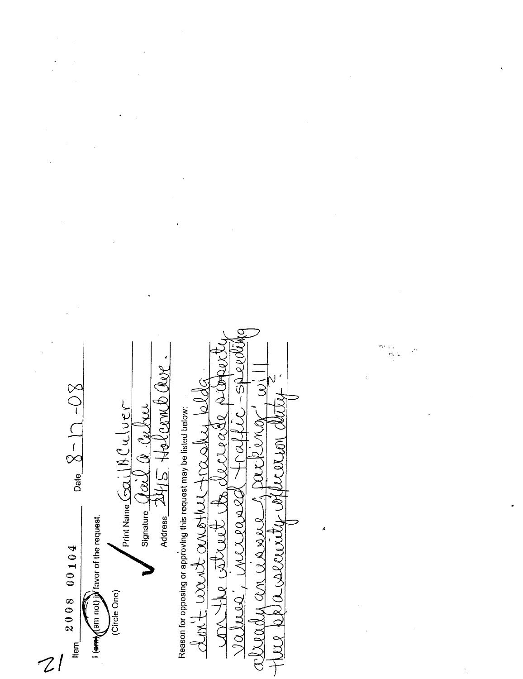Matter strutt Address  $2445$  Holcomb Our contracted to decree prope  $\frac{1}{2}$ Print Name  $G\Omega$  |  $\operatorname{AC}$   $\operatorname{C}$   $\operatorname{C}$   $\operatorname{C}$   $\operatorname{C}$   $\operatorname{C}$   $\operatorname{C}$ den't want another trashy bl Signature  $\mathcal{L}\alpha\mathcal{L}\ \theta$  .  $\mathcal{L}\iota\mathcal{L}\Lambda\iota\iota$ Reason for opposing or approving this request may be listed below: olready an assue 1 parkens  $Date \bigotimes - 1 \bigwedge$ There pola security offeration alues; increased I (em) (am not) in favor of the request. 2008 00 104 (Circle One) Item گے

 $\begin{array}{c} \Omega \\ \Omega \\ \Omega \\ \Omega \end{array}$ 

 $\frac{1}{\sqrt{2}}$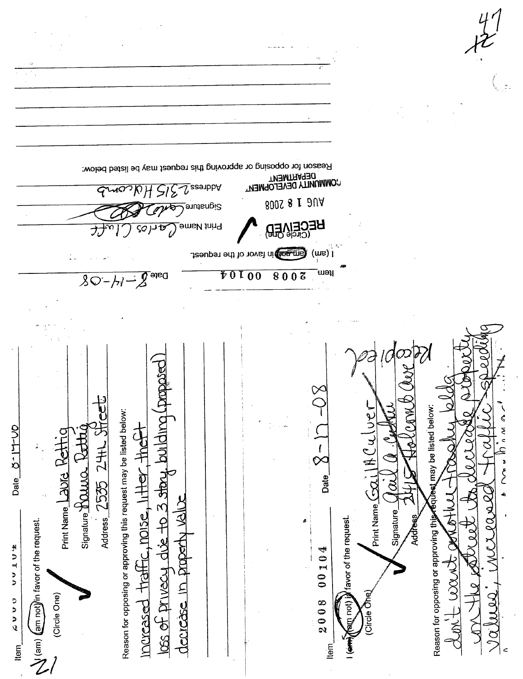| _eeanbbA<br>Signature<br>Print Name                                                                                                                                                                                                                                                                                                                                                                                                                                                                                                                                           | <b>COMMUNITY DEVENTIONEMY</b><br>8002 8 1 9 UA<br><b>HECEIA</b><br>昭<br>(u)<br>in favor of the request.<br><b>CROSS TUID</b> |                                                                                                                                                                                                                                                                                                                                                                                                     |
|-------------------------------------------------------------------------------------------------------------------------------------------------------------------------------------------------------------------------------------------------------------------------------------------------------------------------------------------------------------------------------------------------------------------------------------------------------------------------------------------------------------------------------------------------------------------------------|------------------------------------------------------------------------------------------------------------------------------|-----------------------------------------------------------------------------------------------------------------------------------------------------------------------------------------------------------------------------------------------------------------------------------------------------------------------------------------------------------------------------------------------------|
| $80 - 11 - 8$<br>propose<br>Reason for opposing or approving this request may be listed below:<br>puldira<br><u>97-LI-20</u><br>$\mathfrak{g}$<br>む千<br>モン<br>74<br>Print Name<br>2016<br>Signature <b>HOLUC</b><br>mak<br>主土<br>Date<br><b>R75</b><br>$\overline{N}$<br>国<br>noise<br>Address<br>di <u>e to</u><br>le request<br>proper<br>Ÿ<br>$\Rightarrow$<br>(am) (am not) in favor of the<br>Increased that<br>loss of privacy<br>$\Rightarrow$<br>ゝゝ<br>decrease in<br>(Circle One)<br>$\ddot{\phantom{0}}$<br>$\overline{\phantom{a}}$<br>Þ<br>Q<br>ltem <sub>'</sub> | ันเอม<br>00100<br>8007<br>$\propto$<br>Date<br>ېل<br>00100<br>2008<br>Item                                                   | ີ<br>ລ<br>may be listed below:<br>$U$ $\in$<br>$\mathcal{C}^{\mathcal{M}}$<br>Ç<br>ξ<br>$\frac{1}{2}$<br>э<br>ڴ<br>proving this request<br>Print Name<br>dar<br>≨<br>Signature<br><b>Address</b><br>$\mathcal{\overline{A}}$<br>I (em) (sup not) if favor of the request<br>Reason for opposing or ap<br>throof 7 MM<br>$\sum$<br><b>AST</b><br><u> serred (</u><br>(Circle One)<br>₹<br>$\epsilon$ |

Reason for opposing or approving this request may be listed below:

 $\mathcal{L}$  $\sim$ 

 $\overline{\mathcal{X}}$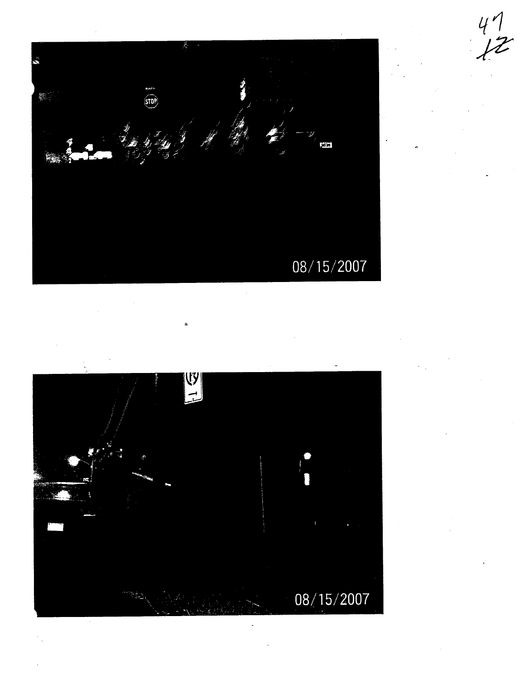



 $\frac{4}{12}$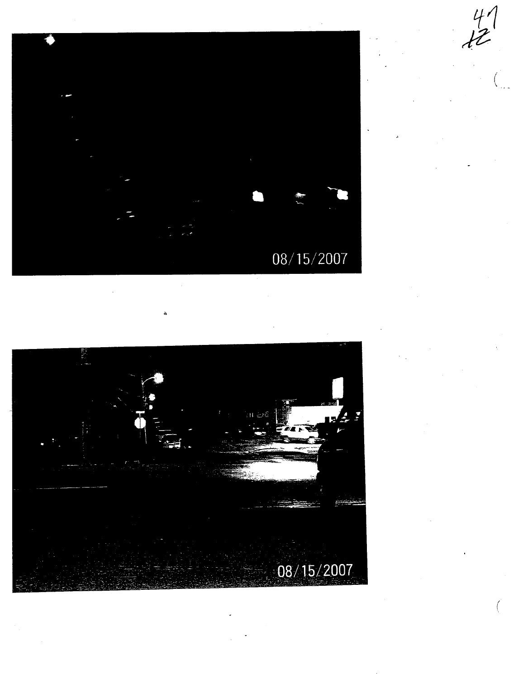

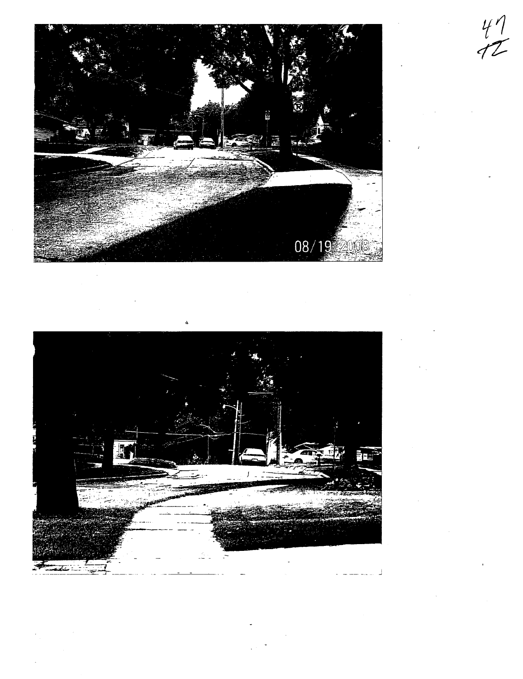



 $\frac{47}{12}$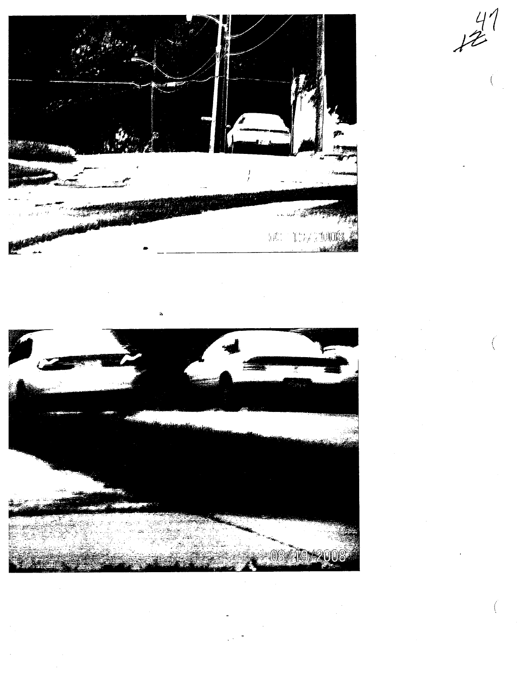

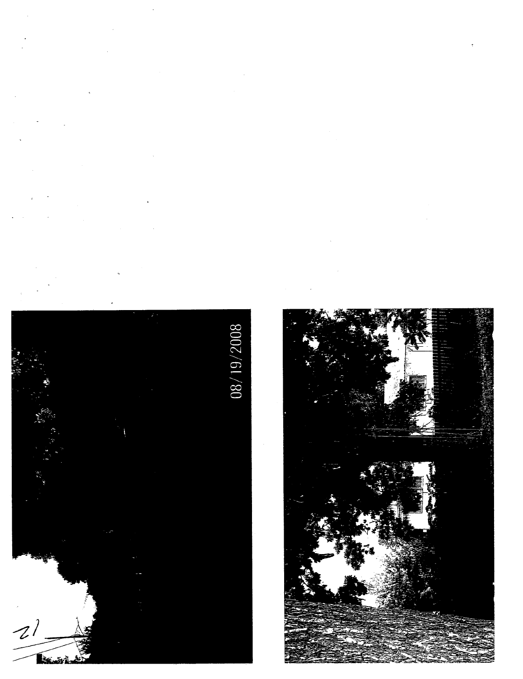$\overline{\phantom{a}}$ 

 $\ddot{\phantom{1}}$ 



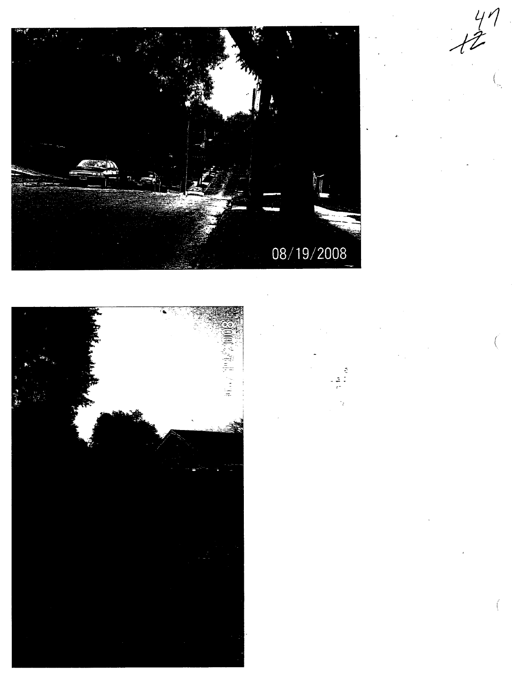